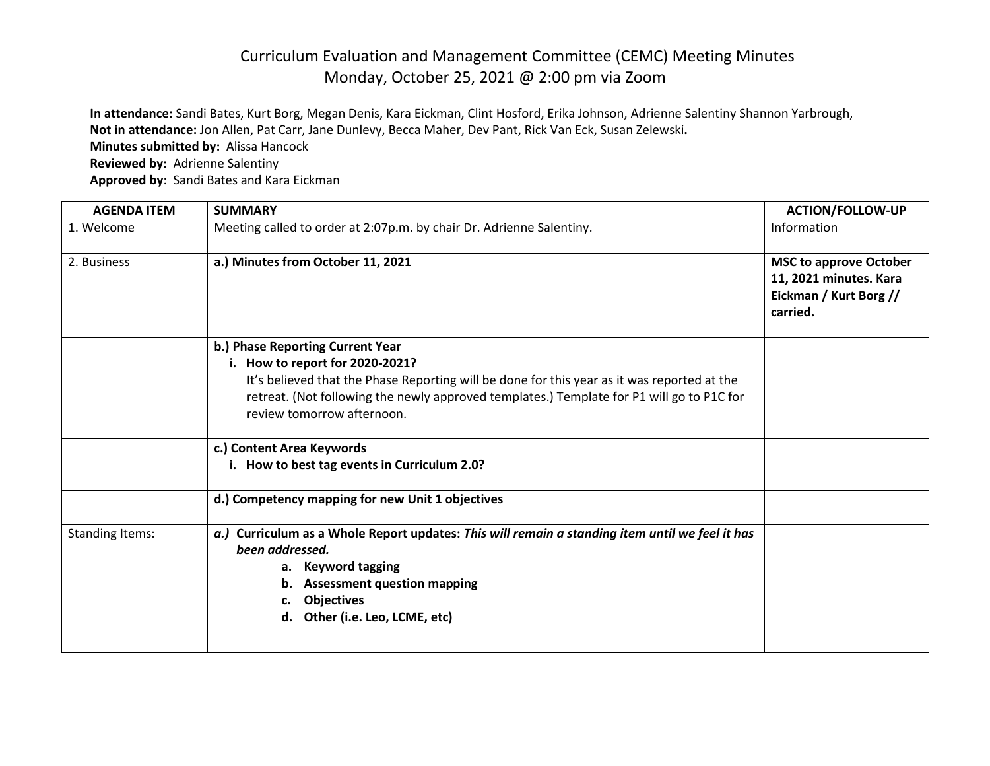## Curriculum Evaluation and Management Committee (CEMC) Meeting Minutes Monday, October 25, 2021 @ 2:00 pm via Zoom

**In attendance:** Sandi Bates, Kurt Borg, Megan Denis, Kara Eickman, Clint Hosford, Erika Johnson, Adrienne Salentiny Shannon Yarbrough, **Not in attendance:** Jon Allen, Pat Carr, Jane Dunlevy, Becca Maher, Dev Pant, Rick Van Eck, Susan Zelewski**. Minutes submitted by:** Alissa Hancock

**Reviewed by:** Adrienne Salentiny

**Approved by**: Sandi Bates and Kara Eickman

| <b>AGENDA ITEM</b>     | <b>SUMMARY</b>                                                                                                                                                                                                                                                                                | <b>ACTION/FOLLOW-UP</b>                                                                       |
|------------------------|-----------------------------------------------------------------------------------------------------------------------------------------------------------------------------------------------------------------------------------------------------------------------------------------------|-----------------------------------------------------------------------------------------------|
| 1. Welcome             | Meeting called to order at 2:07p.m. by chair Dr. Adrienne Salentiny.                                                                                                                                                                                                                          | Information                                                                                   |
| 2. Business            | a.) Minutes from October 11, 2021                                                                                                                                                                                                                                                             | <b>MSC to approve October</b><br>11, 2021 minutes. Kara<br>Eickman / Kurt Borg //<br>carried. |
|                        | b.) Phase Reporting Current Year<br>i. How to report for 2020-2021?<br>It's believed that the Phase Reporting will be done for this year as it was reported at the<br>retreat. (Not following the newly approved templates.) Template for P1 will go to P1C for<br>review tomorrow afternoon. |                                                                                               |
|                        | c.) Content Area Keywords<br>i. How to best tag events in Curriculum 2.0?                                                                                                                                                                                                                     |                                                                                               |
|                        | d.) Competency mapping for new Unit 1 objectives                                                                                                                                                                                                                                              |                                                                                               |
| <b>Standing Items:</b> | a.) Curriculum as a Whole Report updates: This will remain a standing item until we feel it has<br>been addressed.<br>a. Keyword tagging<br>b. Assessment question mapping<br><b>Objectives</b><br>c.<br>d. Other (i.e. Leo, LCME, etc)                                                       |                                                                                               |